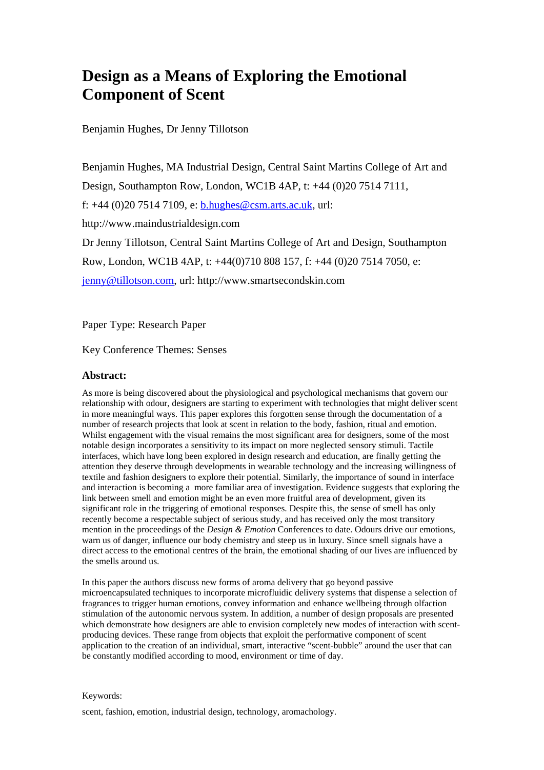# **Design as a Means of Exploring the Emotional Component of Scent**

Benjamin Hughes, Dr Jenny Tillotson

Benjamin Hughes, MA Industrial Design, Central Saint Martins College of Art and Design, Southampton Row, London, WC1B 4AP, t: +44 (0)20 7514 7111, f:  $+44$  (0)20 7514 7109, e: [b.hughes@csm.arts.ac.uk](mailto:b.hughes@csm.arts.ac.uk), url: http://www.maindustrialdesign.com Dr Jenny Tillotson, Central Saint Martins College of Art and Design, Southampton Row, London, WC1B 4AP, t: +44(0)710 808 157, f: +44 (0)20 7514 7050, e: [jenny@tillotson.com,](mailto:jenny@tillotson.com) url: http://www.smartsecondskin.com

Paper Type: Research Paper

Key Conference Themes: Senses

## **Abstract:**

As more is being discovered about the physiological and psychological mechanisms that govern our relationship with odour, designers are starting to experiment with technologies that might deliver scent in more meaningful ways. This paper explores this forgotten sense through the documentation of a number of research projects that look at scent in relation to the body, fashion, ritual and emotion. Whilst engagement with the visual remains the most significant area for designers, some of the most notable design incorporates a sensitivity to its impact on more neglected sensory stimuli. Tactile interfaces, which have long been explored in design research and education, are finally getting the attention they deserve through developments in wearable technology and the increasing willingness of textile and fashion designers to explore their potential. Similarly, the importance of sound in interface and interaction is becoming a more familiar area of investigation. Evidence suggests that exploring the link between smell and emotion might be an even more fruitful area of development, given its significant role in the triggering of emotional responses. Despite this, the sense of smell has only recently become a respectable subject of serious study, and has received only the most transitory mention in the proceedings of the *Design & Emotion* Conferences to date. Odours drive our emotions, warn us of danger, influence our body chemistry and steep us in luxury. Since smell signals have a direct access to the emotional centres of the brain, the emotional shading of our lives are influenced by the smells around us.

In this paper the authors discuss new forms of aroma delivery that go beyond passive microencapsulated techniques to incorporate microfluidic delivery systems that dispense a selection of fragrances to trigger human emotions, convey information and enhance wellbeing through olfaction stimulation of the autonomic nervous system. In addition, a number of design proposals are presented which demonstrate how designers are able to envision completely new modes of interaction with scentproducing devices. These range from objects that exploit the performative component of scent application to the creation of an individual, smart, interactive "scent-bubble" around the user that can be constantly modified according to mood, environment or time of day.

#### Keywords:

scent, fashion, emotion, industrial design, technology, aromachology.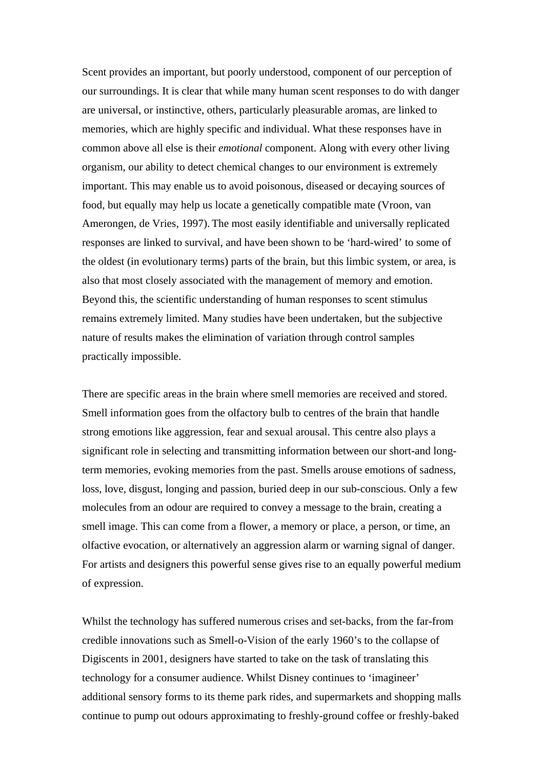Scent provides an important, but poorly understood, component of our perception of our surroundings. It is clear that while many human scent responses to do with danger are universal, or instinctive, others, particularly pleasurable aromas, are linked to memories, which are highly specific and individual. What these responses have in common above all else is their *emotional* component. Along with every other living organism, our ability to detect chemical changes to our environment is extremely important. This may enable us to avoid poisonous, diseased or decaying sources of food, but equally may help us locate a genetically compatible mate (Vroon, van Amerongen, de Vries, 1997). The most easily identifiable and universally replicated responses are linked to survival, and have been shown to be 'hard-wired' to some of the oldest (in evolutionary terms) parts of the brain, but this limbic system, or area, is also that most closely associated with the management of memory and emotion. Beyond this, the scientific understanding of human responses to scent stimulus remains extremely limited. Many studies have been undertaken, but the subjective nature of results makes the elimination of variation through control samples practically impossible.

There are specific areas in the brain where smell memories are received and stored. Smell information goes from the olfactory bulb to centres of the brain that handle strong emotions like aggression, fear and sexual arousal. This centre also plays a significant role in selecting and transmitting information between our short-and longterm memories, evoking memories from the past. Smells arouse emotions of sadness, loss, love, disgust, longing and passion, buried deep in our sub-conscious. Only a few molecules from an odour are required to convey a message to the brain, creating a smell image. This can come from a flower, a memory or place, a person, or time, an olfactive evocation, or alternatively an aggression alarm or warning signal of danger. For artists and designers this powerful sense gives rise to an equally powerful medium of expression.

Whilst the technology has suffered numerous crises and set-backs, from the far-from credible innovations such as Smell-o-Vision of the early 1960's to the collapse of Digiscents in 2001, designers have started to take on the task of translating this technology for a consumer audience. Whilst Disney continues to 'imagineer' additional sensory forms to its theme park rides, and supermarkets and shopping malls continue to pump out odours approximating to freshly-ground coffee or freshly-baked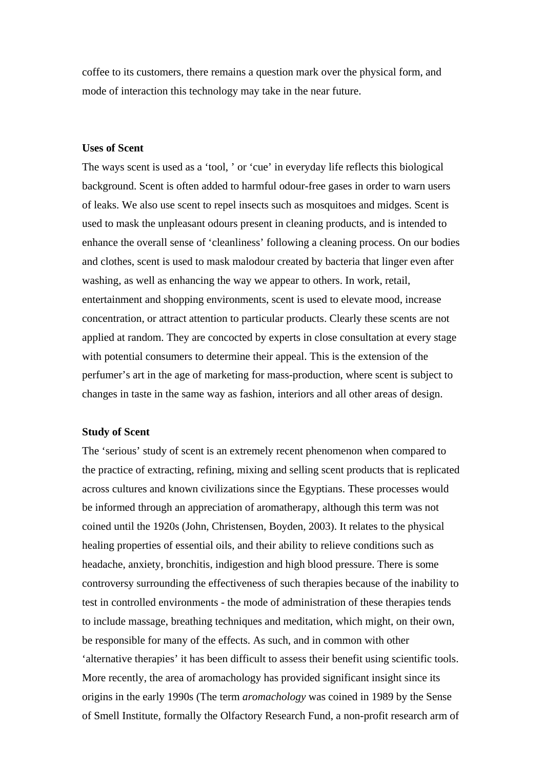coffee to its customers, there remains a question mark over the physical form, and mode of interaction this technology may take in the near future.

## **Uses of Scent**

The ways scent is used as a 'tool, ' or 'cue' in everyday life reflects this biological background. Scent is often added to harmful odour-free gases in order to warn users of leaks. We also use scent to repel insects such as mosquitoes and midges. Scent is used to mask the unpleasant odours present in cleaning products, and is intended to enhance the overall sense of 'cleanliness' following a cleaning process. On our bodies and clothes, scent is used to mask malodour created by bacteria that linger even after washing, as well as enhancing the way we appear to others. In work, retail, entertainment and shopping environments, scent is used to elevate mood, increase concentration, or attract attention to particular products. Clearly these scents are not applied at random. They are concocted by experts in close consultation at every stage with potential consumers to determine their appeal. This is the extension of the perfumer's art in the age of marketing for mass-production, where scent is subject to changes in taste in the same way as fashion, interiors and all other areas of design.

#### **Study of Scent**

The 'serious' study of scent is an extremely recent phenomenon when compared to the practice of extracting, refining, mixing and selling scent products that is replicated across cultures and known civilizations since the Egyptians. These processes would be informed through an appreciation of aromatherapy, although this term was not coined until the 1920s (John, Christensen, Boyden, 2003). It relates to the physical healing properties of essential oils, and their ability to relieve conditions such as headache, anxiety, bronchitis, indigestion and high blood pressure. There is some controversy surrounding the effectiveness of such therapies because of the inability to test in controlled environments - the mode of administration of these therapies tends to include massage, breathing techniques and meditation, which might, on their own, be responsible for many of the effects. As such, and in common with other 'alternative therapies' it has been difficult to assess their benefit using scientific tools. More recently, the area of aromachology has provided significant insight since its origins in the early 1990s (The term *aromachology* was coined in 1989 by the Sense of Smell Institute, formally the Olfactory Research Fund, a non-profit research arm of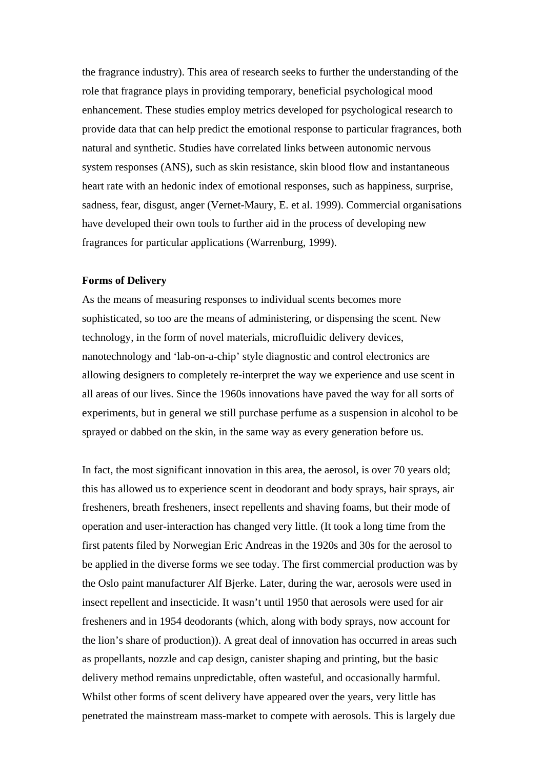the fragrance industry). This area of research seeks to further the understanding of the role that fragrance plays in providing temporary, beneficial psychological mood enhancement. These studies employ metrics developed for psychological research to provide data that can help predict the emotional response to particular fragrances, both natural and synthetic. Studies have correlated links between autonomic nervous system responses (ANS), such as skin resistance, skin blood flow and instantaneous heart rate with an hedonic index of emotional responses, such as happiness, surprise, sadness, fear, disgust, anger (Vernet-Maury, E. et al. 1999). Commercial organisations have developed their own tools to further aid in the process of developing new fragrances for particular applications (Warrenburg, 1999).

#### **Forms of Delivery**

As the means of measuring responses to individual scents becomes more sophisticated, so too are the means of administering, or dispensing the scent. New technology, in the form of novel materials, microfluidic delivery devices, nanotechnology and 'lab-on-a-chip' style diagnostic and control electronics are allowing designers to completely re-interpret the way we experience and use scent in all areas of our lives. Since the 1960s innovations have paved the way for all sorts of experiments, but in general we still purchase perfume as a suspension in alcohol to be sprayed or dabbed on the skin, in the same way as every generation before us.

In fact, the most significant innovation in this area, the aerosol, is over 70 years old; this has allowed us to experience scent in deodorant and body sprays, hair sprays, air fresheners, breath fresheners, insect repellents and shaving foams, but their mode of operation and user-interaction has changed very little. (It took a long time from the first patents filed by Norwegian Eric Andreas in the 1920s and 30s for the aerosol to be applied in the diverse forms we see today. The first commercial production was by the Oslo paint manufacturer Alf Bjerke. Later, during the war, aerosols were used in insect repellent and insecticide. It wasn't until 1950 that aerosols were used for air fresheners and in 1954 deodorants (which, along with body sprays, now account for the lion's share of production)). A great deal of innovation has occurred in areas such as propellants, nozzle and cap design, canister shaping and printing, but the basic delivery method remains unpredictable, often wasteful, and occasionally harmful. Whilst other forms of scent delivery have appeared over the years, very little has penetrated the mainstream mass-market to compete with aerosols. This is largely due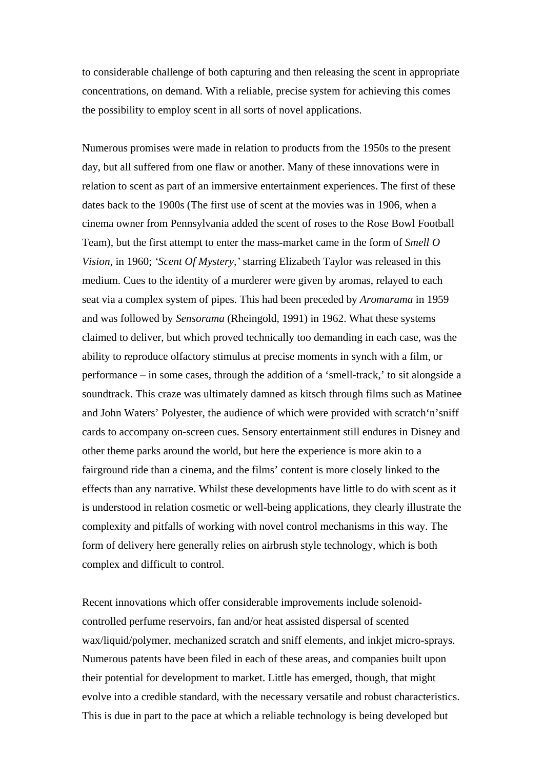to considerable challenge of both capturing and then releasing the scent in appropriate concentrations, on demand. With a reliable, precise system for achieving this comes the possibility to employ scent in all sorts of novel applications.

Numerous promises were made in relation to products from the 1950s to the present day, but all suffered from one flaw or another. Many of these innovations were in relation to scent as part of an immersive entertainment experiences. The first of these dates back to the 1900s (The first use of scent at the movies was in 1906, when a cinema owner from Pennsylvania added the scent of roses to the Rose Bowl Football Team), but the first attempt to enter the mass-market came in the form of *Smell O Vision,* in 1960; *'Scent Of Mystery,'* starring Elizabeth Taylor was released in this medium. Cues to the identity of a murderer were given by aromas, relayed to each seat via a complex system of pipes. This had been preceded by *Aromarama* in 1959 and was followed by *Sensorama* (Rheingold, 1991) in 1962. What these systems claimed to deliver, but which proved technically too demanding in each case, was the ability to reproduce olfactory stimulus at precise moments in synch with a film, or performance – in some cases, through the addition of a 'smell-track,' to sit alongside a soundtrack. This craze was ultimately damned as kitsch through films such as Matinee and John Waters' Polyester, the audience of which were provided with scratch'n'sniff cards to accompany on-screen cues. Sensory entertainment still endures in Disney and other theme parks around the world, but here the experience is more akin to a fairground ride than a cinema, and the films' content is more closely linked to the effects than any narrative. Whilst these developments have little to do with scent as it is understood in relation cosmetic or well-being applications, they clearly illustrate the complexity and pitfalls of working with novel control mechanisms in this way. The form of delivery here generally relies on airbrush style technology, which is both complex and difficult to control.

Recent innovations which offer considerable improvements include solenoidcontrolled perfume reservoirs, fan and/or heat assisted dispersal of scented wax/liquid/polymer, mechanized scratch and sniff elements, and inkjet micro-sprays. Numerous patents have been filed in each of these areas, and companies built upon their potential for development to market. Little has emerged, though, that might evolve into a credible standard, with the necessary versatile and robust characteristics. This is due in part to the pace at which a reliable technology is being developed but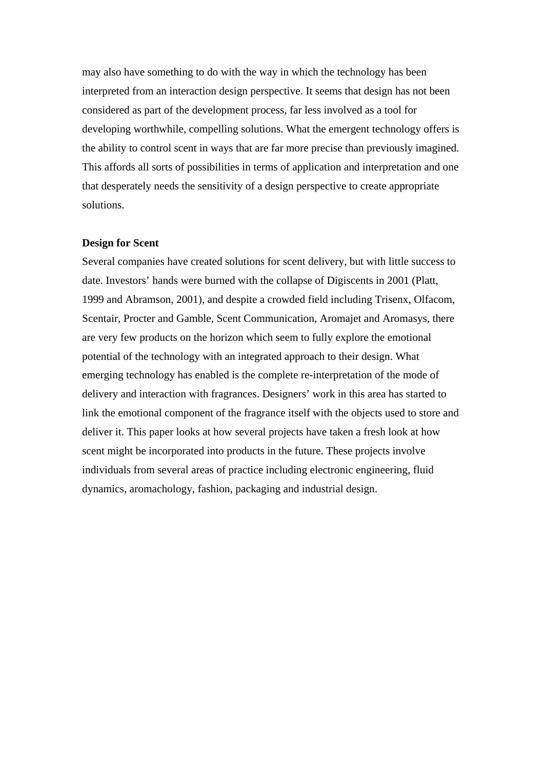may also have something to do with the way in which the technology has been interpreted from an interaction design perspective. It seems that design has not been considered as part of the development process, far less involved as a tool for developing worthwhile, compelling solutions. What the emergent technology offers is the ability to control scent in ways that are far more precise than previously imagined. This affords all sorts of possibilities in terms of application and interpretation and one that desperately needs the sensitivity of a design perspective to create appropriate solutions.

## **Design for Scent**

Several companies have created solutions for scent delivery, but with little success to date. Investors' hands were burned with the collapse of Digiscents in 2001 (Platt, 1999 and Abramson, 2001), and despite a crowded field including Trisenx, Olfacom, Scentair, Procter and Gamble, Scent Communication, Aromajet and Aromasys, there are very few products on the horizon which seem to fully explore the emotional potential of the technology with an integrated approach to their design. What emerging technology has enabled is the complete re-interpretation of the mode of delivery and interaction with fragrances. Designers' work in this area has started to link the emotional component of the fragrance itself with the objects used to store and deliver it. This paper looks at how several projects have taken a fresh look at how scent might be incorporated into products in the future. These projects involve individuals from several areas of practice including electronic engineering, fluid dynamics, aromachology, fashion, packaging and industrial design.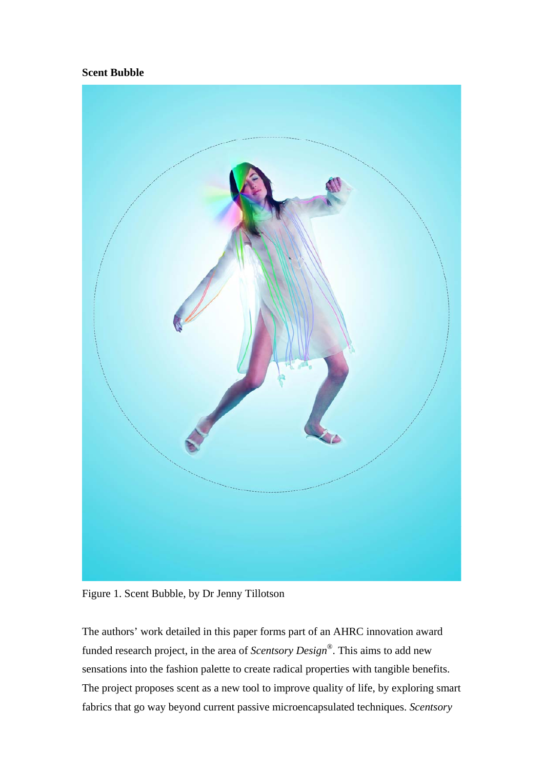## **Scent Bubble**



Figure 1. Scent Bubble, by Dr Jenny Tillotson

The authors' work detailed in this paper forms part of an AHRC innovation award funded research project, in the area of *Scentsory Design*®. This aims to add new sensations into the fashion palette to create radical properties with tangible benefits. The project proposes scent as a new tool to improve quality of life, by exploring smart fabrics that go way beyond current passive microencapsulated techniques. *Scentsory*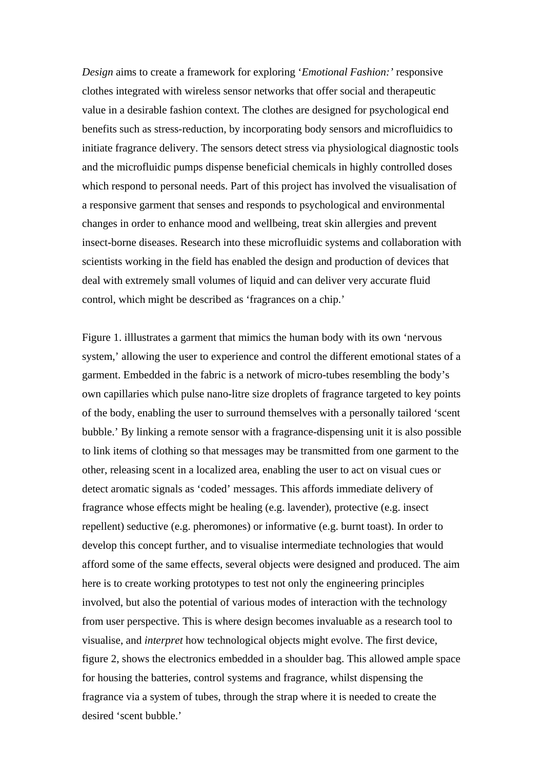*Design* aims to create a framework for exploring '*Emotional Fashion:'* responsive clothes integrated with wireless sensor networks that offer social and therapeutic value in a desirable fashion context. The clothes are designed for psychological end benefits such as stress-reduction, by incorporating body sensors and microfluidics to initiate fragrance delivery. The sensors detect stress via physiological diagnostic tools and the microfluidic pumps dispense beneficial chemicals in highly controlled doses which respond to personal needs. Part of this project has involved the visualisation of a responsive garment that senses and responds to psychological and environmental changes in order to enhance mood and wellbeing, treat skin allergies and prevent insect-borne diseases. Research into these microfluidic systems and collaboration with scientists working in the field has enabled the design and production of devices that deal with extremely small volumes of liquid and can deliver very accurate fluid control, which might be described as 'fragrances on a chip.'

Figure 1. illlustrates a garment that mimics the human body with its own 'nervous system,' allowing the user to experience and control the different emotional states of a garment. Embedded in the fabric is a network of micro-tubes resembling the body's own capillaries which pulse nano-litre size droplets of fragrance targeted to key points of the body, enabling the user to surround themselves with a personally tailored 'scent bubble.' By linking a remote sensor with a fragrance-dispensing unit it is also possible to link items of clothing so that messages may be transmitted from one garment to the other, releasing scent in a localized area, enabling the user to act on visual cues or detect aromatic signals as 'coded' messages. This affords immediate delivery of fragrance whose effects might be healing (e.g. lavender), protective (e.g. insect repellent) seductive (e.g. pheromones) or informative (e.g. burnt toast). In order to develop this concept further, and to visualise intermediate technologies that would afford some of the same effects, several objects were designed and produced. The aim here is to create working prototypes to test not only the engineering principles involved, but also the potential of various modes of interaction with the technology from user perspective. This is where design becomes invaluable as a research tool to visualise, and *interpret* how technological objects might evolve. The first device, figure 2, shows the electronics embedded in a shoulder bag. This allowed ample space for housing the batteries, control systems and fragrance, whilst dispensing the fragrance via a system of tubes, through the strap where it is needed to create the desired 'scent bubble.'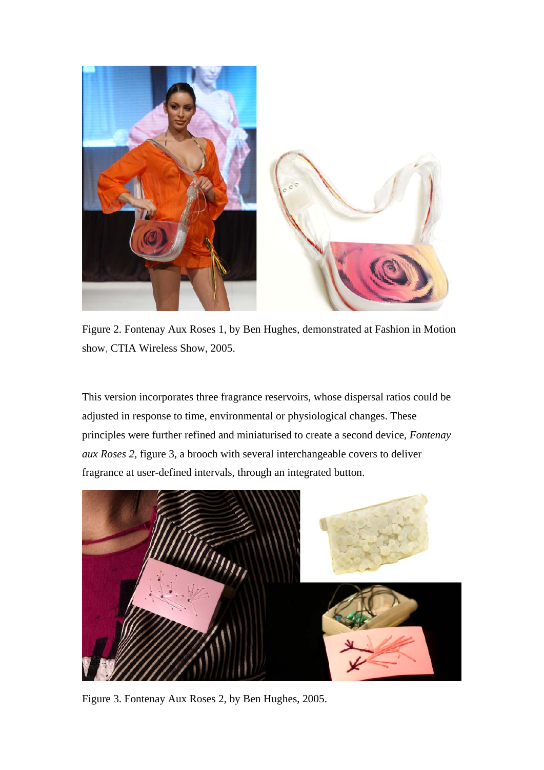

Figure 2. Fontenay Aux Roses 1, by Ben Hughes, demonstrated at Fashion in Motion show, CTIA Wireless Show, 2005.

This version incorporates three fragrance reservoirs, whose dispersal ratios could be adjusted in response to time, environmental or physiological changes. These principles were further refined and miniaturised to create a second device, *Fontenay aux Roses 2,* figure 3, a brooch with several interchangeable covers to deliver fragrance at user-defined intervals, through an integrated button.



Figure 3. Fontenay Aux Roses 2, by Ben Hughes, 2005.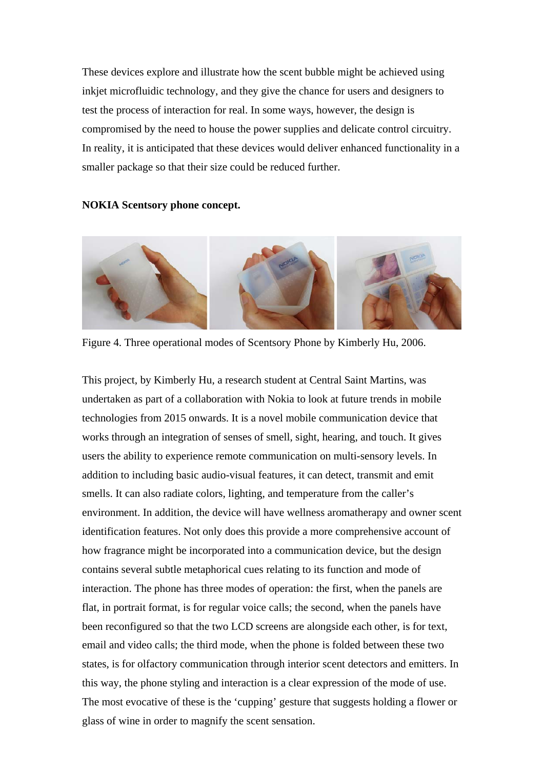These devices explore and illustrate how the scent bubble might be achieved using inkjet microfluidic technology, and they give the chance for users and designers to test the process of interaction for real. In some ways, however, the design is compromised by the need to house the power supplies and delicate control circuitry. In reality, it is anticipated that these devices would deliver enhanced functionality in a smaller package so that their size could be reduced further.

## **NOKIA Scentsory phone concept.**



Figure 4. Three operational modes of Scentsory Phone by Kimberly Hu, 2006.

This project, by Kimberly Hu, a research student at Central Saint Martins, was undertaken as part of a collaboration with Nokia to look at future trends in mobile technologies from 2015 onwards. It is a novel mobile communication device that works through an integration of senses of smell, sight, hearing, and touch. It gives users the ability to experience remote communication on multi-sensory levels. In addition to including basic audio-visual features, it can detect, transmit and emit smells. It can also radiate colors, lighting, and temperature from the caller's environment. In addition, the device will have wellness aromatherapy and owner scent identification features. Not only does this provide a more comprehensive account of how fragrance might be incorporated into a communication device, but the design contains several subtle metaphorical cues relating to its function and mode of interaction. The phone has three modes of operation: the first, when the panels are flat, in portrait format, is for regular voice calls; the second, when the panels have been reconfigured so that the two LCD screens are alongside each other, is for text, email and video calls; the third mode, when the phone is folded between these two states, is for olfactory communication through interior scent detectors and emitters. In this way, the phone styling and interaction is a clear expression of the mode of use. The most evocative of these is the 'cupping' gesture that suggests holding a flower or glass of wine in order to magnify the scent sensation.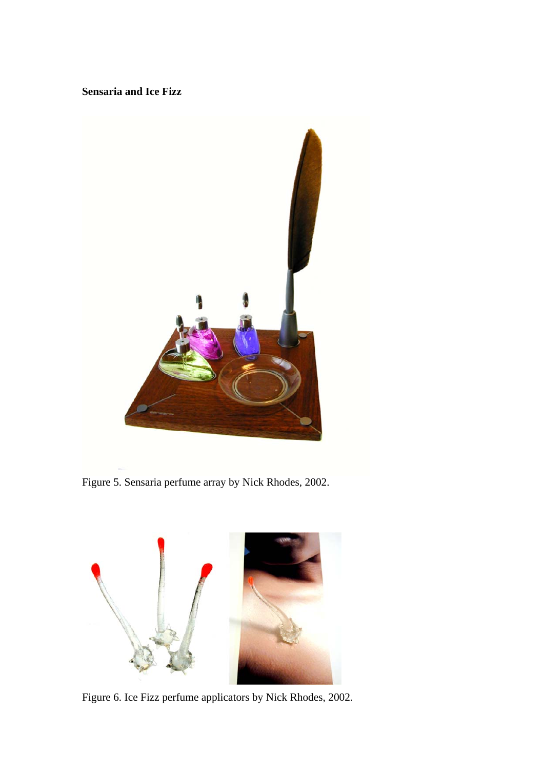**Sensaria and Ice Fizz** 



Figure 5. Sensaria perfume array by Nick Rhodes, 2002.



Figure 6. Ice Fizz perfume applicators by Nick Rhodes, 2002.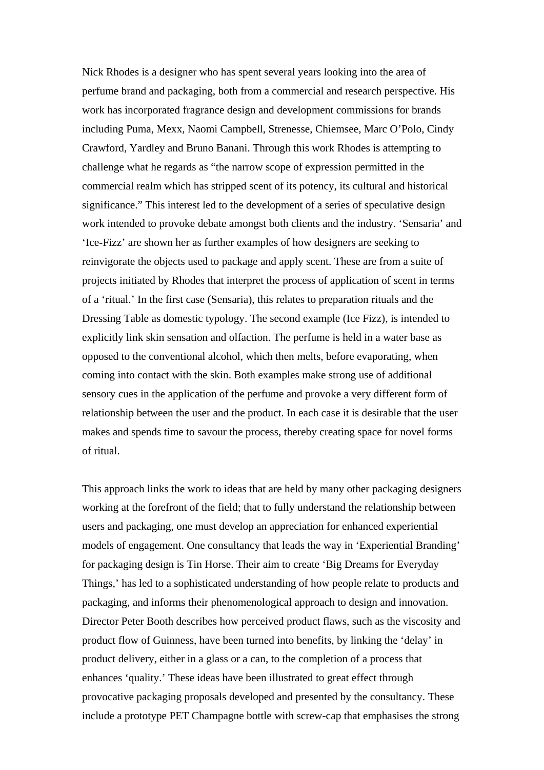Nick Rhodes is a designer who has spent several years looking into the area of perfume brand and packaging, both from a commercial and research perspective. His work has incorporated fragrance design and development commissions for brands including Puma, Mexx, Naomi Campbell, Strenesse, Chiemsee, Marc O'Polo, Cindy Crawford, Yardley and Bruno Banani. Through this work Rhodes is attempting to challenge what he regards as "the narrow scope of expression permitted in the commercial realm which has stripped scent of its potency, its cultural and historical significance." This interest led to the development of a series of speculative design work intended to provoke debate amongst both clients and the industry. 'Sensaria' and 'Ice-Fizz' are shown her as further examples of how designers are seeking to reinvigorate the objects used to package and apply scent. These are from a suite of projects initiated by Rhodes that interpret the process of application of scent in terms of a 'ritual.' In the first case (Sensaria), this relates to preparation rituals and the Dressing Table as domestic typology. The second example (Ice Fizz), is intended to explicitly link skin sensation and olfaction. The perfume is held in a water base as opposed to the conventional alcohol, which then melts, before evaporating, when coming into contact with the skin. Both examples make strong use of additional sensory cues in the application of the perfume and provoke a very different form of relationship between the user and the product. In each case it is desirable that the user makes and spends time to savour the process, thereby creating space for novel forms of ritual.

This approach links the work to ideas that are held by many other packaging designers working at the forefront of the field; that to fully understand the relationship between users and packaging, one must develop an appreciation for enhanced experiential models of engagement. One consultancy that leads the way in 'Experiential Branding' for packaging design is Tin Horse. Their aim to create 'Big Dreams for Everyday Things,' has led to a sophisticated understanding of how people relate to products and packaging, and informs their phenomenological approach to design and innovation. Director Peter Booth describes how perceived product flaws, such as the viscosity and product flow of Guinness, have been turned into benefits, by linking the 'delay' in product delivery, either in a glass or a can, to the completion of a process that enhances 'quality.' These ideas have been illustrated to great effect through provocative packaging proposals developed and presented by the consultancy. These include a prototype PET Champagne bottle with screw-cap that emphasises the strong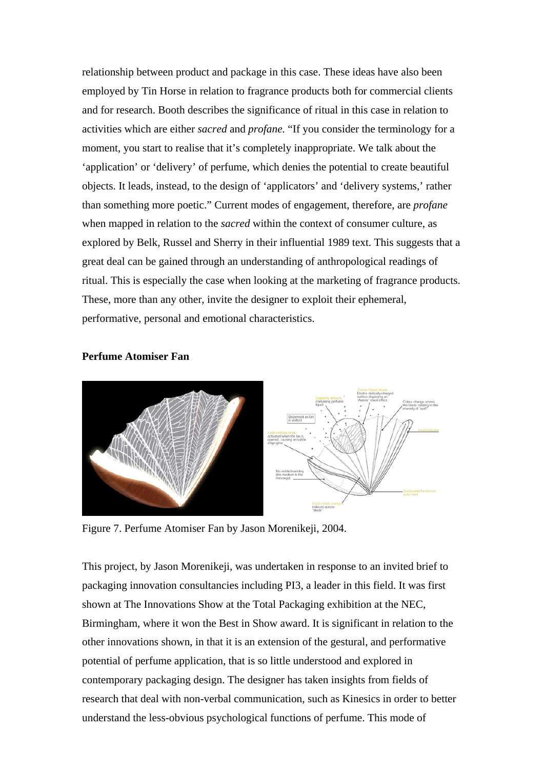relationship between product and package in this case. These ideas have also been employed by Tin Horse in relation to fragrance products both for commercial clients and for research. Booth describes the significance of ritual in this case in relation to activities which are either *sacred* and *profane.* "If you consider the terminology for a moment, you start to realise that it's completely inappropriate. We talk about the 'application' or 'delivery' of perfume, which denies the potential to create beautiful objects. It leads, instead, to the design of 'applicators' and 'delivery systems,' rather than something more poetic." Current modes of engagement, therefore, are *profane* when mapped in relation to the *sacred* within the context of consumer culture, as explored by Belk, Russel and Sherry in their influential 1989 text. This suggests that a great deal can be gained through an understanding of anthropological readings of ritual. This is especially the case when looking at the marketing of fragrance products. These, more than any other, invite the designer to exploit their ephemeral, performative, personal and emotional characteristics.

## **Perfume Atomiser Fan**



Figure 7. Perfume Atomiser Fan by Jason Morenikeji, 2004.

This project, by Jason Morenikeji, was undertaken in response to an invited brief to packaging innovation consultancies including PI3, a leader in this field. It was first shown at The Innovations Show at the Total Packaging exhibition at the NEC, Birmingham, where it won the Best in Show award. It is significant in relation to the other innovations shown, in that it is an extension of the gestural, and performative potential of perfume application, that is so little understood and explored in contemporary packaging design. The designer has taken insights from fields of research that deal with non-verbal communication, such as Kinesics in order to better understand the less-obvious psychological functions of perfume. This mode of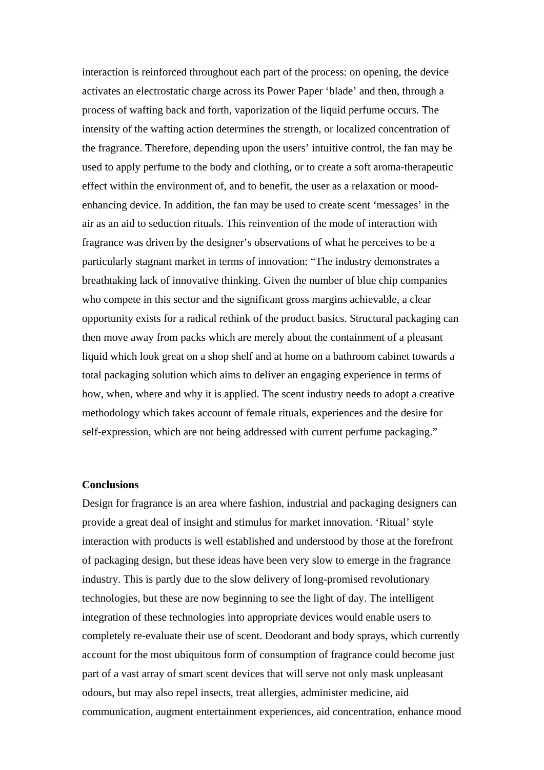interaction is reinforced throughout each part of the process: on opening, the device activates an electrostatic charge across its Power Paper 'blade' and then, through a process of wafting back and forth, vaporization of the liquid perfume occurs. The intensity of the wafting action determines the strength, or localized concentration of the fragrance. Therefore, depending upon the users' intuitive control, the fan may be used to apply perfume to the body and clothing, or to create a soft aroma-therapeutic effect within the environment of, and to benefit, the user as a relaxation or moodenhancing device. In addition, the fan may be used to create scent 'messages' in the air as an aid to seduction rituals. This reinvention of the mode of interaction with fragrance was driven by the designer's observations of what he perceives to be a particularly stagnant market in terms of innovation: "The industry demonstrates a breathtaking lack of innovative thinking. Given the number of blue chip companies who compete in this sector and the significant gross margins achievable, a clear opportunity exists for a radical rethink of the product basics. Structural packaging can then move away from packs which are merely about the containment of a pleasant liquid which look great on a shop shelf and at home on a bathroom cabinet towards a total packaging solution which aims to deliver an engaging experience in terms of how, when, where and why it is applied. The scent industry needs to adopt a creative methodology which takes account of female rituals, experiences and the desire for self-expression, which are not being addressed with current perfume packaging."

## **Conclusions**

Design for fragrance is an area where fashion, industrial and packaging designers can provide a great deal of insight and stimulus for market innovation. 'Ritual' style interaction with products is well established and understood by those at the forefront of packaging design, but these ideas have been very slow to emerge in the fragrance industry. This is partly due to the slow delivery of long-promised revolutionary technologies, but these are now beginning to see the light of day. The intelligent integration of these technologies into appropriate devices would enable users to completely re-evaluate their use of scent. Deodorant and body sprays, which currently account for the most ubiquitous form of consumption of fragrance could become just part of a vast array of smart scent devices that will serve not only mask unpleasant odours, but may also repel insects, treat allergies, administer medicine, aid communication, augment entertainment experiences, aid concentration, enhance mood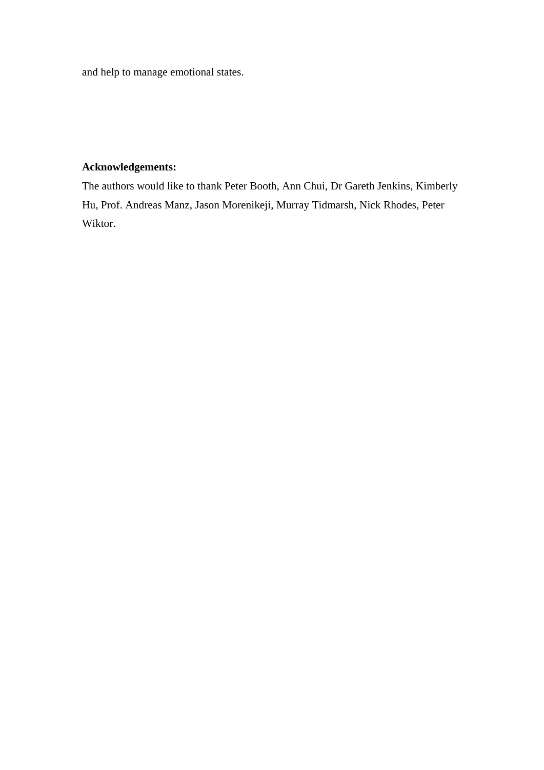and help to manage emotional states.

## **Acknowledgements:**

The authors would like to thank Peter Booth, Ann Chui, Dr Gareth Jenkins, Kimberly Hu, Prof. Andreas Manz, Jason Morenikeji, Murray Tidmarsh, Nick Rhodes, Peter Wiktor.